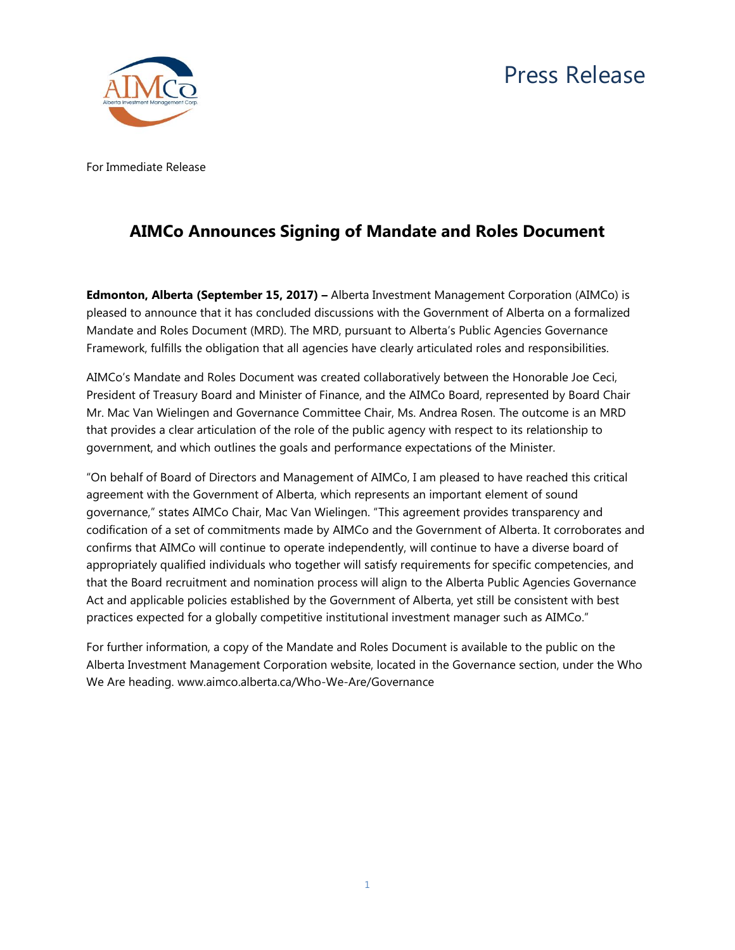

For Immediate Release

## **AIMCo Announces Signing of Mandate and Roles Document**

**Edmonton, Alberta (September 15, 2017) –** Alberta Investment Management Corporation (AIMCo) is pleased to announce that it has concluded discussions with the Government of Alberta on a formalized Mandate and Roles Document (MRD). The MRD, pursuant to Alberta's Public Agencies Governance Framework, fulfills the obligation that all agencies have clearly articulated roles and responsibilities.

AIMCo's Mandate and Roles Document was created collaboratively between the Honorable Joe Ceci, President of Treasury Board and Minister of Finance, and the AIMCo Board, represented by Board Chair Mr. Mac Van Wielingen and Governance Committee Chair, Ms. Andrea Rosen. The outcome is an MRD that provides a clear articulation of the role of the public agency with respect to its relationship to government, and which outlines the goals and performance expectations of the Minister.

"On behalf of Board of Directors and Management of AIMCo, I am pleased to have reached this critical agreement with the Government of Alberta, which represents an important element of sound governance," states AIMCo Chair, Mac Van Wielingen. "This agreement provides transparency and codification of a set of commitments made by AIMCo and the Government of Alberta. It corroborates and confirms that AIMCo will continue to operate independently, will continue to have a diverse board of appropriately qualified individuals who together will satisfy requirements for specific competencies, and that the Board recruitment and nomination process will align to the Alberta Public Agencies Governance Act and applicable policies established by the Government of Alberta, yet still be consistent with best practices expected for a globally competitive institutional investment manager such as AIMCo."

For further information, a copy of the Mandate and Roles Document is available to the public on the Alberta Investment Management Corporation website, located in the Governance section, under the Who We Are heading. www.aimco.alberta.ca/Who-We-Are/Governance